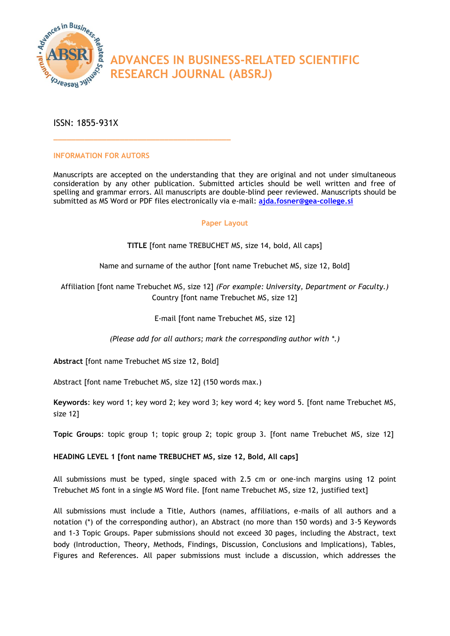

# **ADVANCES IN BUSINESS-RELATED SCIENTIFIC RESEARCH JOURNAL (ABSRJ)**

ISSN: 1855-931X

## **INFORMATION FOR AUTORS**

**\_\_\_\_\_\_\_\_\_\_\_\_\_\_\_\_\_\_\_\_\_\_\_\_\_\_\_\_\_\_\_\_\_\_\_\_\_\_\_\_**

Manuscripts are accepted on the understanding that they are original and not under simultaneous consideration by any other publication. Submitted articles should be well written and free of spelling and grammar errors. All manuscripts are double-blind peer reviewed. Manuscripts should be submitted as MS Word or PDF files electronically via e-mail: **[ajda.fosner@gea-college.si](mailto:ajda.fosner@gea-college.si)**

## **Paper Layout**

**TITLE** [font name TREBUCHET MS, size 14, bold, All caps]

Name and surname of the author [font name Trebuchet MS, size 12, Bold]

Affiliation [font name Trebuchet MS, size 12] *(For example: University, Department or Faculty.)* Country [font name Trebuchet MS, size 12]

E-mail [font name Trebuchet MS, size 12]

*(Please add for all authors; mark the corresponding author with \*.)*

**Abstract** [font name Trebuchet MS size 12, Bold]

Abstract [font name Trebuchet MS, size 12] (150 words max.)

**Keywords**: key word 1; key word 2; key word 3; key word 4; key word 5. [font name Trebuchet MS, size 12]

**Topic Groups**: topic group 1; topic group 2; topic group 3. [font name Trebuchet MS, size 12]

# **HEADING LEVEL 1 [font name TREBUCHET MS, size 12, Bold, All caps]**

All submissions must be typed, single spaced with 2.5 cm or one-inch margins using 12 point Trebuchet MS font in a single MS Word file. [font name Trebuchet MS, size 12, justified text]

All submissions must include a Title, Authors (names, affiliations, e-mails of all authors and a notation (\*) of the corresponding author), an Abstract (no more than 150 words) and 3-5 Keywords and 1-3 Topic Groups. Paper submissions should not exceed 30 pages, including the Abstract, text body (Introduction, Theory, Methods, Findings, Discussion, Conclusions and Implications), Tables, Figures and References. All paper submissions must include a discussion, which addresses the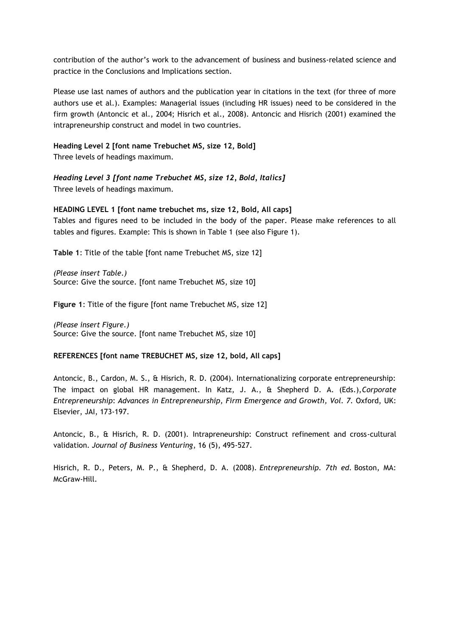contribution of the author's work to the advancement of business and business-related science and practice in the Conclusions and Implications section.

Please use last names of authors and the publication year in citations in the text (for three of more authors use et al.). Examples: Managerial issues (including HR issues) need to be considered in the firm growth (Antoncic et al., 2004; Hisrich et al., 2008). Antoncic and Hisrich (2001) examined the intrapreneurship construct and model in two countries.

## **Heading Level 2 [font name Trebuchet MS, size 12, Bold]** Three levels of headings maximum.

*Heading Level 3 [font name Trebuchet MS, size 12, Bold, Italics]* Three levels of headings maximum.

#### **HEADING LEVEL 1 [font name trebuchet ms, size 12, Bold, All caps]**

Tables and figures need to be included in the body of the paper. Please make references to all tables and figures. Example: This is shown in Table 1 (see also Figure 1).

**Table 1**: Title of the table [font name Trebuchet MS, size 12]

*(Please insert Table.)* Source: Give the source. [font name Trebuchet MS, size 10]

**Figure 1**: Title of the figure [font name Trebuchet MS, size 12]

*(Please insert Figure.)* Source: Give the source. [font name Trebuchet MS, size 10]

#### **REFERENCES [font name TREBUCHET MS, size 12, bold, All caps]**

Antoncic, B., Cardon, M. S., & Hisrich, R. D. (2004). Internationalizing corporate entrepreneurship: The impact on global HR management. In Katz, J. A., & Shepherd D. A. (Eds.),*Corporate Entrepreneurship*: *Advances in Entrepreneurship, Firm Emergence and Growth, Vol. 7.* Oxford, UK: Elsevier, JAI, 173-197.

Antoncic, B., & Hisrich, R. D. (2001). Intrapreneurship: Construct refinement and cross-cultural validation. *Journal of Business Venturing*, 16 (5), 495-527.

Hisrich, R. D., Peters, M. P., & Shepherd, D. A. (2008). *Entrepreneurship. 7th ed.* Boston, MA: McGraw-Hill.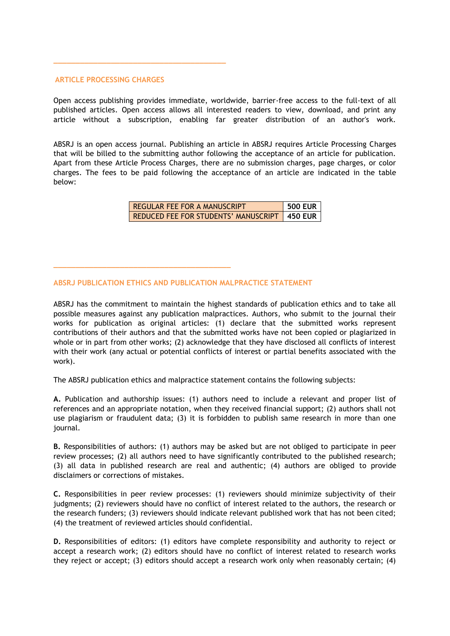#### **ARTICLE PROCESSING CHARGES**

**\_\_\_\_\_\_\_\_\_\_\_\_\_\_\_\_\_\_\_\_\_\_\_\_\_\_\_\_\_\_\_\_\_\_\_\_\_\_\_**

**\_\_\_\_\_\_\_\_\_\_\_\_\_\_\_\_\_\_\_\_\_\_\_\_\_\_\_\_\_\_\_\_\_\_\_\_\_\_\_\_**

Open access publishing provides immediate, worldwide, barrier-free access to the full-text of all published articles. Open access allows all interested readers to view, download, and print any article without a subscription, enabling far greater distribution of an author's work.

ABSRJ is an open access journal. Publishing an article in ABSRJ requires Article Processing Charges that will be billed to the submitting author following the acceptance of an article for publication. Apart from these Article Process Charges, there are no submission charges, page charges, or color charges. The fees to be paid following the acceptance of an article are indicated in the table below:

> REGULAR FEE FOR A MANUSCRIPT **500 EUR** REDUCED FEE FOR STUDENTS' MANUSCRIPT **450 EUR**

#### **ABSRJ PUBLICATION ETHICS AND PUBLICATION MALPRACTICE STATEMENT**

ABSRJ has the commitment to maintain the highest standards of publication ethics and to take all possible measures against any publication malpractices. Authors, who submit to the journal their works for publication as original articles: (1) declare that the submitted works represent contributions of their authors and that the submitted works have not been copied or plagiarized in whole or in part from other works; (2) acknowledge that they have disclosed all conflicts of interest with their work (any actual or potential conflicts of interest or partial benefits associated with the work).

The ABSRJ publication ethics and malpractice statement contains the following subjects:

**A.** Publication and authorship issues: (1) authors need to include a relevant and proper list of references and an appropriate notation, when they received financial support; (2) authors shall not use plagiarism or fraudulent data; (3) it is forbidden to publish same research in more than one journal.

**B.** Responsibilities of authors: (1) authors may be asked but are not obliged to participate in peer review processes; (2) all authors need to have significantly contributed to the published research; (3) all data in published research are real and authentic; (4) authors are obliged to provide disclaimers or corrections of mistakes.

**C.** Responsibilities in peer review processes: (1) reviewers should minimize subjectivity of their judgments; (2) reviewers should have no conflict of interest related to the authors, the research or the research funders; (3) reviewers should indicate relevant published work that has not been cited; (4) the treatment of reviewed articles should confidential.

**D.** Responsibilities of editors: (1) editors have complete responsibility and authority to reject or accept a research work; (2) editors should have no conflict of interest related to research works they reject or accept; (3) editors should accept a research work only when reasonably certain; (4)